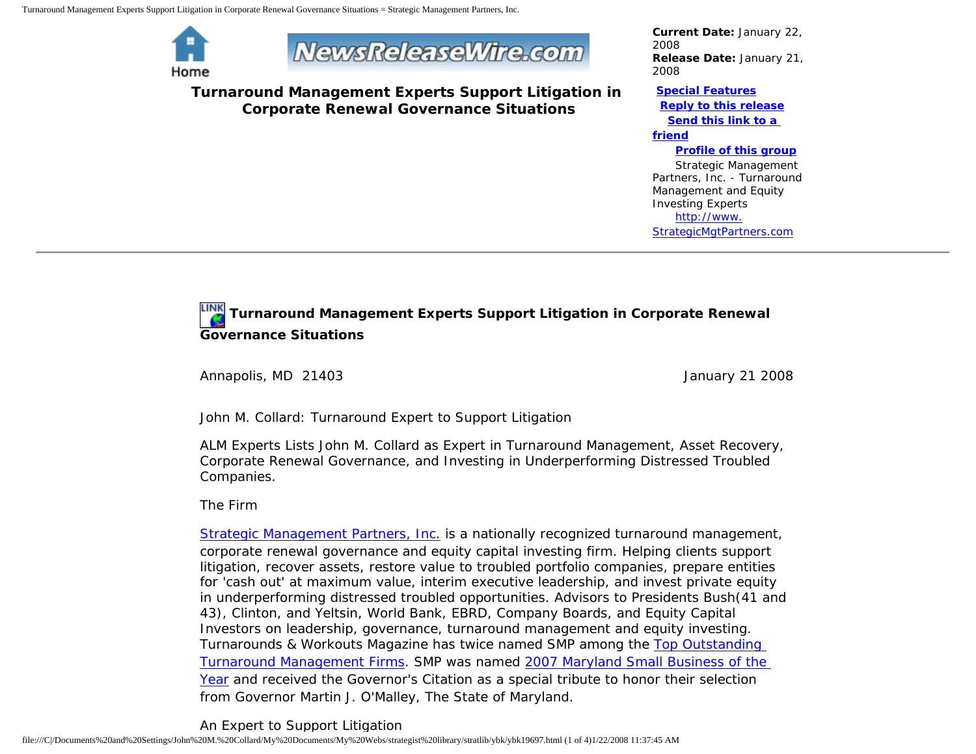Turnaround Management Experts Support Litigation in Corporate Renewal Governance Situations = Strategic Management Partners, Inc.



# **NewsReleaseWire.com**

**Turnaround Management Experts Support Litigation in Corporate Renewal Governance Situations**

*Current Date:* January 22, 2008 *Release Date:* January 21, 2008

#### **[Special Features](javascript:openlittleme() [Reply to this release](file:///C|/Documents%20and%20Settings/John%20M.%20Collard/My%20Documents/My%20Webs/strategist%20library/stratlib/ybk/default.cfm?Action=ReplyRelease&Id=19697)**

**[Send this link to a](file:///C|/Documents%20and%20Settings/John%20M.%20Collard/My%20Documents/My%20Webs/strategist%20library/stratlib/ybk/default.cfm?Action=SendLink&SendId=19697)** 

#### **[friend](file:///C|/Documents%20and%20Settings/John%20M.%20Collard/My%20Documents/My%20Webs/strategist%20library/stratlib/ybk/default.cfm?Action=SendLink&SendId=19697)**

#### **[Profile of this group](file:///C|/Documents%20and%20Settings/John%20M.%20Collard/My%20Documents/My%20Webs/strategist%20library/stratlib/ybk/default.cfm?Action=Profile&ProfileId=623)**

 Strategic Management Partners, Inc. - Turnaround Management and Equity Investing Experts [http://www.](http://www.strategicmgtpartners.com/) [StrategicMgtPartners.com](http://www.strategicmgtpartners.com/)

## **Turnaround Management Experts Support Litigation in Corporate Renewal Governance Situations**

Annapolis, MD 21403 **January 21 2008** 

John M. Collard: Turnaround Expert to Support Litigation

ALM Experts Lists John M. Collard as Expert in Turnaround Management, Asset Recovery, Corporate Renewal Governance, and Investing in Underperforming Distressed Troubled Companies.

The Firm

[Strategic Management Partners, Inc.](http://www.strategicmanagementpartnersinc.com/) is a nationally recognized turnaround management, corporate renewal governance and equity capital investing firm. Helping clients support litigation, recover assets, restore value to troubled portfolio companies, prepare entities for 'cash out' at maximum value, interim executive leadership, and invest private equity in underperforming distressed troubled opportunities. Advisors to Presidents Bush(41 and 43), Clinton, and Yeltsin, World Bank, EBRD, Company Boards, and Equity Capital Investors on leadership, governance, turnaround management and equity investing. Turnarounds & Workouts Magazine has twice named SMP among the [Top Outstanding](http://members.aol.com/Strategist/twtop12.html) [Turnaround Management Firms](http://members.aol.com/Strategist/twtop12.html). SMP was named [2007 Maryland Small Business of the](http://members.aol.com/Stratlib3/mccsbyr.html) [Year](http://members.aol.com/Stratlib3/mccsbyr.html) and received the Governor's Citation as a special tribute to honor their selection from Governor Martin J. O'Malley, The State of Maryland.

An Expert to Support Litigation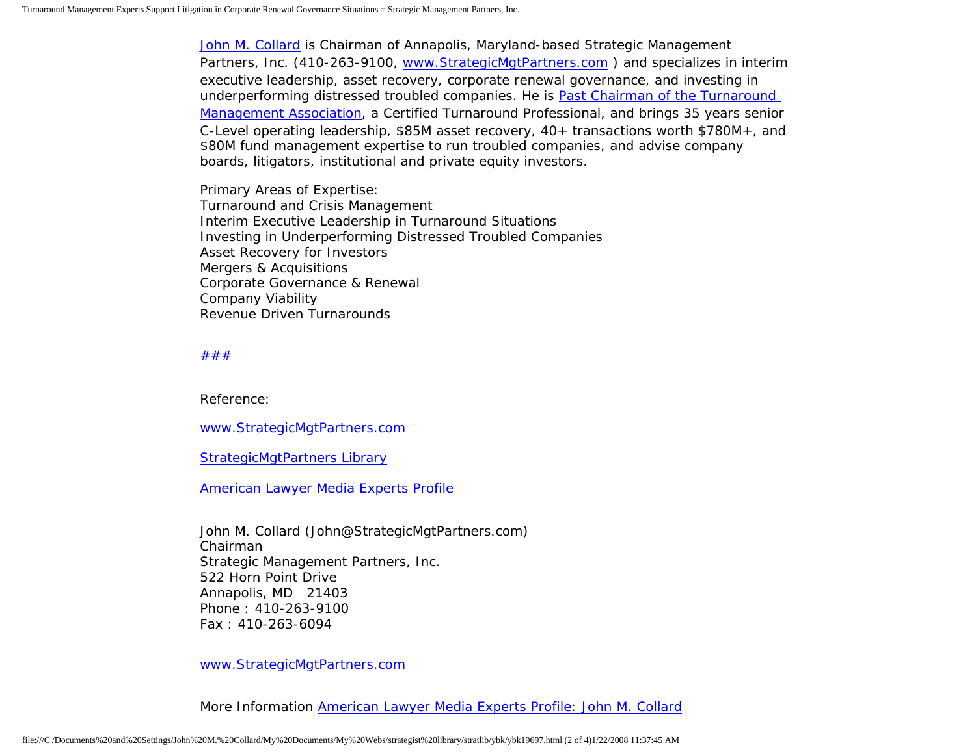[John M. Collard](http://www.turnaroundmanagement.us.com/) is Chairman of Annapolis, Maryland-based Strategic Management Partners, Inc. (410-263-9100, [www.StrategicMgtPartners.com](http://www.strategistlibrary.com/) ) and specializes in interim executive leadership, asset recovery, corporate renewal governance, and investing in underperforming distressed troubled companies. He is [Past Chairman of the Turnaround](http://members.aol.com/Strategist/pastchair.html)  [Management Association,](http://members.aol.com/Strategist/pastchair.html) a Certified Turnaround Professional, and brings 35 years senior C-Level operating leadership, \$85M asset recovery, 40+ transactions worth \$780M+, and \$80M fund management expertise to run troubled companies, and advise company boards, litigators, institutional and private equity investors.

Primary Areas of Expertise: Turnaround and Crisis Management Interim Executive Leadership in Turnaround Situations Investing in Underperforming Distressed Troubled Companies Asset Recovery for Investors Mergers & Acquisitions Corporate Governance & Renewal Company Viability Revenue Driven Turnarounds

#### [#](http://members.aol.com/Strategist/home.html)[#](http://members.aol.com/Strategist/sitemap.html)[#](http://members.aol.com/Strategist/urllist.txt)

Reference:

[www.StrategicMgtPartners.com](http://www.strategicmgtpartners.com/)

[StrategicMgtPartners Library](http://members.aol.com/stratlib3/liblinx.html)

[American Lawyer Media Experts Profile](http://www.almexperts.com/ExpertWitness/experts_and_consultants/expert/5240329.html)

John M. Collard (John@StrategicMgtPartners.com) Chairman Strategic Management Partners, Inc. 522 Horn Point Drive Annapolis, MD 21403 Phone : 410-263-9100 Fax : 410-263-6094

[www.StrategicMgtPartners.com](http://www.strategicmgtpartners.com/)

More Information [American Lawyer Media Experts Profile: John M. Collard](http://www.almexperts.com/ExpertWitness/experts_and_consultants/expert/5240329.html)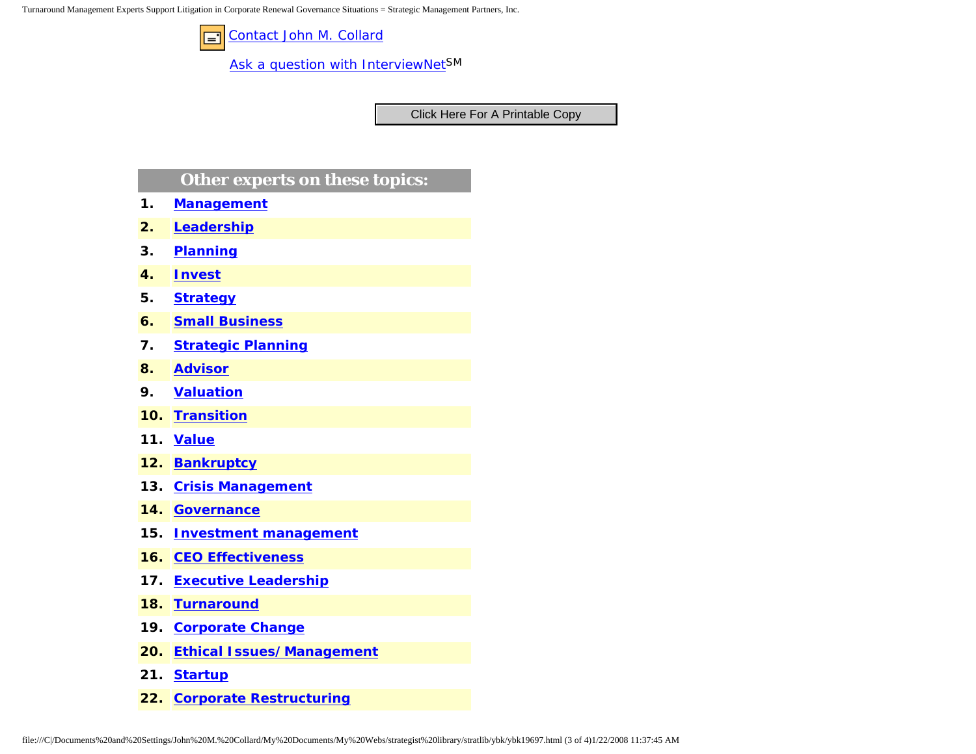Turnaround Management Experts Support Litigation in Corporate Renewal Governance Situations = Strategic Management Partners, Inc.



[Ask a question with InterviewNetS](http://www.expertclick.com/expertClick/contact/default.cfm?GroupID=1016)M

### **Other experts on these topics:**

- **1. [Management](http://www.expertclick.com/search/default.cfm?SearchCriteria=Management)**
- **2. [Leadership](http://www.expertclick.com/search/default.cfm?SearchCriteria=Leadership)**
- **3. [Planning](http://www.expertclick.com/search/default.cfm?SearchCriteria=Planning)**
- **4. [Invest](http://www.expertclick.com/search/default.cfm?SearchCriteria=Invest)**
- **5. [Strategy](http://www.expertclick.com/search/default.cfm?SearchCriteria=Strategy)**
- **6. [Small Business](http://www.expertclick.com/search/default.cfm?SearchCriteria=Small Business)**
- **7. [Strategic Planning](http://www.expertclick.com/search/default.cfm?SearchCriteria=Strategic Planning)**
- **8. [Advisor](http://www.expertclick.com/search/default.cfm?SearchCriteria=Advisor)**
- **9. [Valuation](http://www.expertclick.com/search/default.cfm?SearchCriteria=Valuation)**
- **10. [Transition](http://www.expertclick.com/search/default.cfm?SearchCriteria=Transition)**
- **11. [Value](http://www.expertclick.com/search/default.cfm?SearchCriteria=Value)**
- **12. [Bankruptcy](http://www.expertclick.com/search/default.cfm?SearchCriteria=Bankruptcy)**
- **13. [Crisis Management](http://www.expertclick.com/search/default.cfm?SearchCriteria=Crisis Management)**
- **14. [Governance](http://www.expertclick.com/search/default.cfm?SearchCriteria=Governance)**
- **15. [Investment management](http://www.expertclick.com/search/default.cfm?SearchCriteria=Investment management)**
- **16. [CEO Effectiveness](http://www.expertclick.com/search/default.cfm?SearchCriteria=CEO Effectiveness)**
- **17. [Executive Leadership](http://www.expertclick.com/search/default.cfm?SearchCriteria=Executive Leadership)**
- **18. [Turnaround](http://www.expertclick.com/search/default.cfm?SearchCriteria=Turnaround)**
- **19. [Corporate Change](http://www.expertclick.com/search/default.cfm?SearchCriteria=Corporate Change)**
- **20. [Ethical Issues/Management](http://www.expertclick.com/search/default.cfm?SearchCriteria=Ethical Issues/Management)**
- **21. [Startup](http://www.expertclick.com/search/default.cfm?SearchCriteria=Startup)**
- **22. [Corporate Restructuring](http://www.expertclick.com/search/default.cfm?SearchCriteria=Corporate Restructuring)**